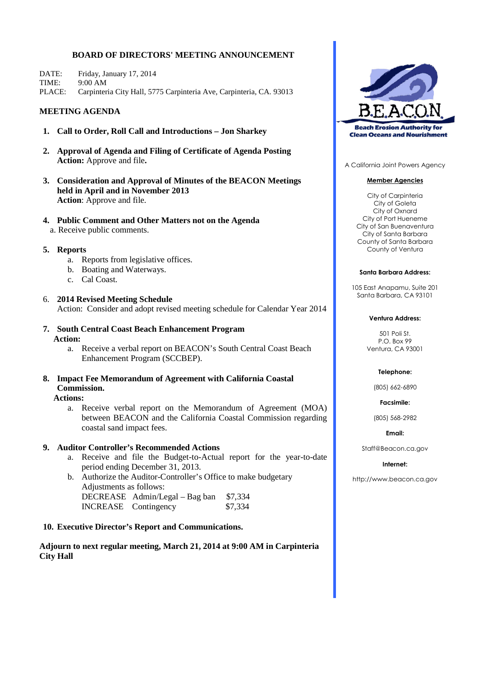# **BOARD OF DIRECTORS' MEETING ANNOUNCEMENT**

| DATE: | Friday, January 17, 2014                                                   |
|-------|----------------------------------------------------------------------------|
| TIME: | $-9:00$ AM                                                                 |
|       | PLACE: Carpinteria City Hall, 5775 Carpinteria Ave, Carpinteria, CA. 93013 |

# **MEETING AGENDA**

- **1. Call to Order, Roll Call and Introductions – Jon Sharkey**
- **2. Approval of Agenda and Filing of Certificate of Agenda Posting Action:** Approve and file**.**
- **3. Consideration and Approval of Minutes of the BEACON Meetings held in April and in November 2013 Action**: Approve and file.
- **4. Public Comment and Other Matters not on the Agenda** a. Receive public comments.

### **5. Reports**

- a. Reports from legislative offices.
- b. Boating and Waterways.
- c. Cal Coast.
- 6. **2014 Revised Meeting Schedule** Action: Consider and adopt revised meeting schedule for Calendar Year 2014
- **7. South Central Coast Beach Enhancement Program Action:**
	- a. Receive a verbal report on BEACON's South Central Coast Beach Enhancement Program (SCCBEP).
- **8. Impact Fee Memorandum of Agreement with California Coastal Commission.**

**Actions:**

a. Receive verbal report on the Memorandum of Agreement (MOA) between BEACON and the California Coastal Commission regarding coastal sand impact fees.

## **9. Auditor Controller's Recommended Actions**

- a. Receive and file the Budget-to-Actual report for the year-to-date period ending December 31, 2013.
- b. Authorize the Auditor-Controller's Office to make budgetary Adjustments as follows: DECREASE Admin/Legal – Bag ban \$7,334 INCREASE Contingency \$7,334

### **10. Executive Director's Report and Communications.**

**Adjourn to next regular meeting, March 21, 2014 at 9:00 AM in Carpinteria City Hall**



A California Joint Powers Agency

#### **Member Agencies**

City of Carpinteria City of Goleta City of Oxnard City of Port Hueneme City of San Buenaventura City of Santa Barbara County of Santa Barbara County of Ventura

#### **Santa Barbara Address:**

105 East Anapamu, Suite 201 Santa Barbara, CA 93101

#### **Ventura Address:**

501 Poli St. P.O. Box 99 Ventura, CA 93001

#### **Telephone:**

(805) 662-6890

**Facsimile:**

(805) 568-2982

**Email:**

Staff@Beacon.ca.gov

#### **Internet:**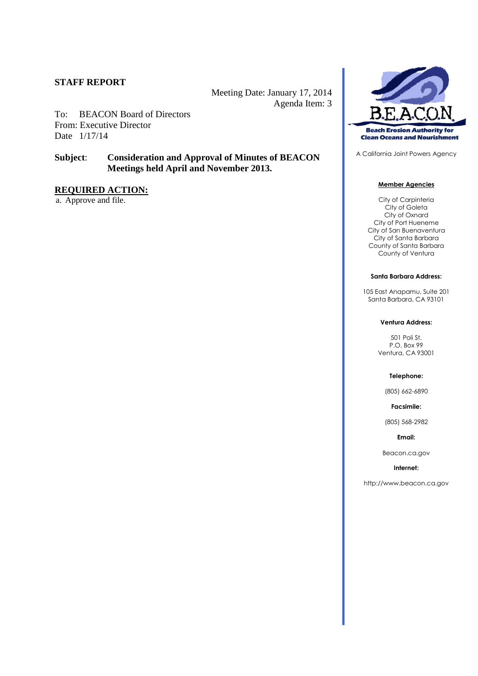Meeting Date: January 17, 2014 Agenda Item: 3

To: BEACON Board of Directors From: Executive Director Date 1/17/14

# **Subject**: **Consideration and Approval of Minutes of BEACON Meetings held April and November 2013.**

# **REQUIRED ACTION:**

a. Approve and file.



A California Joint Powers Agency

#### **Member Agencies**

City of Carpinteria City of Goleta City of Oxnard City of Port Hueneme City of San Buenaventura City of Santa Barbara County of Santa Barbara County of Ventura

#### **Santa Barbara Address:**

105 East Anapamu, Suite 201 Santa Barbara, CA 93101

#### **Ventura Address:**

501 Poli St. P.O. Box 99 Ventura, CA 93001

#### **Telephone:**

(805) 662-6890

**Facsimile:**

(805) 568-2982

**Email:**

Beacon.ca.gov

#### **Internet:**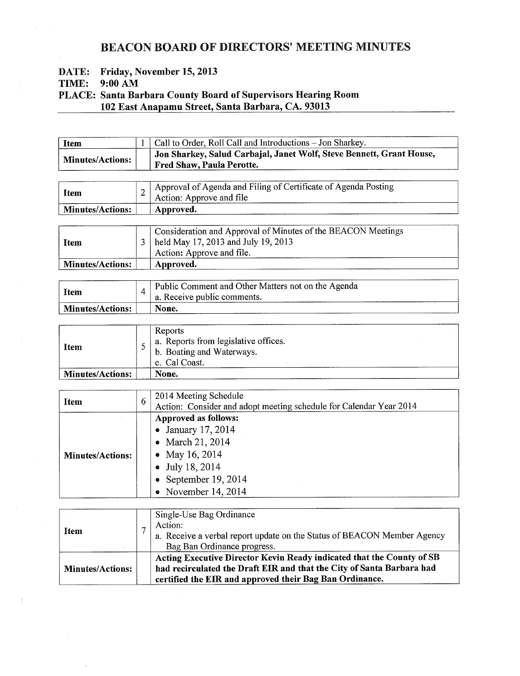# **BEACON BOARD OF DIRECTORS' MEETING MINUTES**

Friday, November 15, 2013 DATE:

TIME:  $9:00$  AM

PLACE: Santa Barbara County Board of Supervisors Hearing Room 102 East Anapamu Street, Santa Barbara, CA. 93013

| <b>Item</b>             | $\vert$ 1   Call to Order, Roll Call and Introductions - Jon Sharkey.                                                 |
|-------------------------|-----------------------------------------------------------------------------------------------------------------------|
| <b>Minutes/Actions:</b> | <sup>1</sup> Jon Sharkey, Salud Carbajal, Janet Wolf, Steve Bennett, Grant House,<br><b>Fred Shaw, Paula Perotte.</b> |

| <b>Item</b>             | ∠ | Approval of Agenda and Filing of Certificate of Agenda Posting<br>Action: Approve and file |
|-------------------------|---|--------------------------------------------------------------------------------------------|
| <b>Minutes/Actions:</b> |   | ' Approved.                                                                                |
|                         |   |                                                                                            |

| Item                    | Consideration and Approval of Minutes of the BEACON Meetings<br>3   held May 17, 2013 and July 19, 2013<br>Action: Approve and file. |
|-------------------------|--------------------------------------------------------------------------------------------------------------------------------------|
| <b>Minutes/Actions:</b> | Approved.                                                                                                                            |

| Item                    | Public Comment and Other Matters not on the Agenda<br>$\frac{1}{2}$ a. Receive public comments. |
|-------------------------|-------------------------------------------------------------------------------------------------|
| <b>Minutes/Actions:</b> | None.                                                                                           |

| <b>Item</b>             | Reports<br>a. Reports from legislative offices.<br>b. Boating and Waterways.<br>c. Cal Coast. |
|-------------------------|-----------------------------------------------------------------------------------------------|
| <b>Minutes/Actions:</b> | None.                                                                                         |

| Item                    | 6 | 2014 Meeting Schedule<br>Action: Consider and adopt meeting schedule for Calendar Year 2014                                                        |
|-------------------------|---|----------------------------------------------------------------------------------------------------------------------------------------------------|
| <b>Minutes/Actions:</b> |   | Approved as follows:<br>• January 17, 2014<br>• March 21, 2014<br>• May 16, 2014<br>• July 18, 2014<br>• September 19, 2014<br>• November 14, 2014 |

| Item                    | Single-Use Bag Ordinance<br>Action:<br>a. Receive a verbal report update on the Status of BEACON Member Agency<br>Bag Ban Ordinance progress.                                                             |
|-------------------------|-----------------------------------------------------------------------------------------------------------------------------------------------------------------------------------------------------------|
| <b>Minutes/Actions:</b> | Acting Executive Director Kevin Ready indicated that the County of SB<br>had recirculated the Draft EIR and that the City of Santa Barbara had<br>certified the EIR and approved their Bag Ban Ordinance. |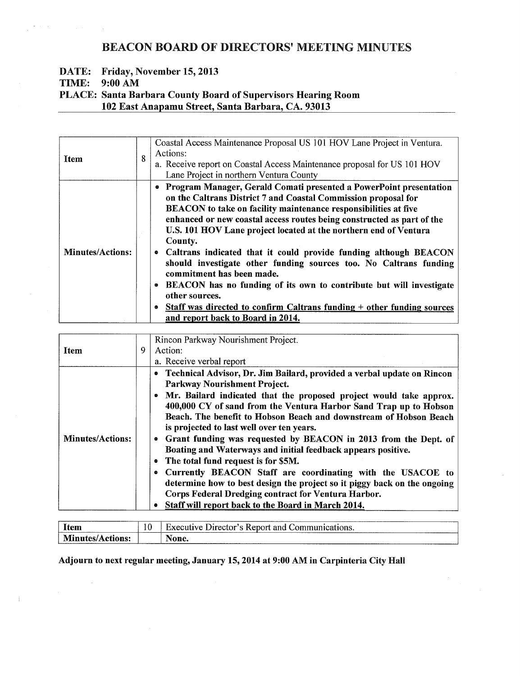# **BEACON BOARD OF DIRECTORS' MEETING MINUTES**

# DATE: Friday, November 15, 2013

TIME: 9:00 AM

 $\sim$   $\omega$ 

 $\overline{\phantom{a}}$ 

 $\sim 10$ 

 $\frac{1}{4}$  . All  $\alpha=0$ 

# PLACE: Santa Barbara County Board of Supervisors Hearing Room 102 East Anapamu Street, Santa Barbara, CA. 93013

| <b>Item</b>             | 8 | Coastal Access Maintenance Proposal US 101 HOV Lane Project in Ventura.<br>Actions:<br>a. Receive report on Coastal Access Maintenance proposal for US 101 HOV<br>Lane Project in northern Ventura County                                                                                                                                                                                                                                                                                                                                                                                                                                                                                                                                                         |  |  |  |
|-------------------------|---|-------------------------------------------------------------------------------------------------------------------------------------------------------------------------------------------------------------------------------------------------------------------------------------------------------------------------------------------------------------------------------------------------------------------------------------------------------------------------------------------------------------------------------------------------------------------------------------------------------------------------------------------------------------------------------------------------------------------------------------------------------------------|--|--|--|
| <b>Minutes/Actions:</b> |   | • Program Manager, Gerald Comati presented a PowerPoint presentation<br>on the Caltrans District 7 and Coastal Commission proposal for<br>BEACON to take on facility maintenance responsibilities at five<br>enhanced or new coastal access routes being constructed as part of the<br>U.S. 101 HOV Lane project located at the northern end of Ventura<br>County.<br>• Caltrans indicated that it could provide funding although BEACON<br>should investigate other funding sources too. No Caltrans funding<br>commitment has been made.<br>BEACON has no funding of its own to contribute but will investigate<br>$\bullet$<br>other sources.<br>• Staff was directed to confirm Caltrans funding + other funding sources<br>and report back to Board in 2014. |  |  |  |

|                         | 9 | Rincon Parkway Nourishment Project.                                      |  |  |
|-------------------------|---|--------------------------------------------------------------------------|--|--|
| <b>Item</b>             |   | Action:                                                                  |  |  |
|                         |   | a. Receive verbal report                                                 |  |  |
|                         |   | • Technical Advisor, Dr. Jim Bailard, provided a verbal update on Rincon |  |  |
|                         |   | Parkway Nourishment Project.                                             |  |  |
|                         |   | • Mr. Bailard indicated that the proposed project would take approx.     |  |  |
|                         |   | 400,000 CY of sand from the Ventura Harbor Sand Trap up to Hobson        |  |  |
|                         |   | Beach. The benefit to Hobson Beach and downstream of Hobson Beach        |  |  |
|                         |   | is projected to last well over ten years.                                |  |  |
| <b>Minutes/Actions:</b> |   | Grant funding was requested by BEACON in 2013 from the Dept. of          |  |  |
|                         |   | Boating and Waterways and initial feedback appears positive.             |  |  |
|                         |   | The total fund request is for \$5M.<br>0                                 |  |  |
|                         |   | Currently BEACON Staff are coordinating with the USACOE to               |  |  |
|                         |   | determine how to best design the project so it piggy back on the ongoing |  |  |
|                         |   | Corps Federal Dredging contract for Ventura Harbor.                      |  |  |
|                         |   | <b>Staff will report back to the Board in March 2014.</b><br>۰           |  |  |

| -<br><b>Item</b><br>-----------<br>________ | -13 | _____________________<br>--------------<br>'uve<br>Jirector′<br>Executi<br>-Kenorf<br>$\ldots$ omm<br>and<br>ations. |
|---------------------------------------------|-----|----------------------------------------------------------------------------------------------------------------------|
| M<br>antes/.<br>one.<br>$\sim$              |     | <b>NT</b><br>lone<br>wut.<br>_____________<br>comment and commercial control of the                                  |

Adjourn to next regular meeting, January 15, 2014 at 9:00 AM in Carpinteria City Hall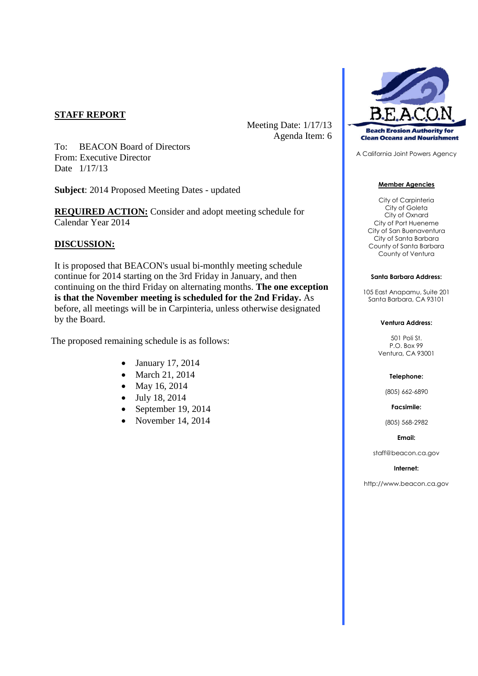Meeting Date: 1/17/13 Agenda Item: 6

To: BEACON Board of Directors From: Executive Director Date 1/17/13

**Subject**: 2014 Proposed Meeting Dates - updated

**REQUIRED ACTION:** Consider and adopt meeting schedule for Calendar Year 2014

# **DISCUSSION:**

It is proposed that BEACON's usual bi-monthly meeting schedule continue for 2014 starting on the 3rd Friday in January, and then continuing on the third Friday on alternating months. **The one exception is that the November meeting is scheduled for the 2nd Friday.** As before, all meetings will be in Carpinteria, unless otherwise designated by the Board.

The proposed remaining schedule is as follows:

- January 17, 2014
- March 21, 2014
- May 16, 2014
- July 18, 2014
- $\bullet$  September 19, 2014
- November 14, 2014



A California Joint Powers Agency

### **Member Agencies**

City of Carpinteria City of Goleta City of Oxnard City of Port Hueneme City of San Buenaventura City of Santa Barbara County of Santa Barbara County of Ventura

### **Santa Barbara Address:**

105 East Anapamu, Suite 201 Santa Barbara, CA 93101

### **Ventura Address:**

501 Poli St. P.O. Box 99 Ventura, CA 93001

### **Telephone:**

(805) 662-6890

#### **Facsimile:**

(805) 568-2982

### **Email:**

staff@beacon.ca.gov

### **Internet:**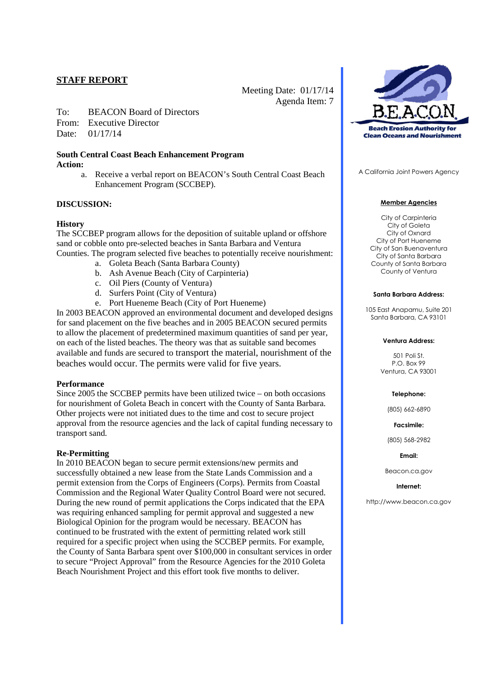Meeting Date: 01/17/14 Agenda Item: 7

- To: BEACON Board of Directors
- From: Executive Director

Date: 01/17/14

# **South Central Coast Beach Enhancement Program Action:**

a. Receive a verbal report on BEACON's South Central Coast Beach Enhancement Program (SCCBEP).

# **DISCUSSION:**

# **History**

The SCCBEP program allows for the deposition of suitable upland or offshore sand or cobble onto pre-selected beaches in Santa Barbara and Ventura Counties. The program selected five beaches to potentially receive nourishment:

- a. Goleta Beach (Santa Barbara County)
- b. Ash Avenue Beach (City of Carpinteria)
- c. Oil Piers (County of Ventura)
- d. Surfers Point (City of Ventura)
- e. Port Hueneme Beach (City of Port Hueneme)

In 2003 BEACON approved an environmental document and developed designs for sand placement on the five beaches and in 2005 BEACON secured permits to allow the placement of predetermined maximum quantities of sand per year, on each of the listed beaches. The theory was that as suitable sand becomes available and funds are secured to transport the material, nourishment of the beaches would occur. The permits were valid for five years.

### **Performance**

Since 2005 the SCCBEP permits have been utilized twice – on both occasions for nourishment of Goleta Beach in concert with the County of Santa Barbara. Other projects were not initiated dues to the time and cost to secure project approval from the resource agencies and the lack of capital funding necessary to transport sand.

### **Re-Permitting**

In 2010 BEACON began to secure permit extensions/new permits and successfully obtained a new lease from the State Lands Commission and a permit extension from the Corps of Engineers (Corps). Permits from Coastal Commission and the Regional Water Quality Control Board were not secured. During the new round of permit applications the Corps indicated that the EPA was requiring enhanced sampling for permit approval and suggested a new Biological Opinion for the program would be necessary. BEACON has continued to be frustrated with the extent of permitting related work still required for a specific project when using the SCCBEP permits. For example, the County of Santa Barbara spent over \$100,000 in consultant services in order to secure "Project Approval" from the Resource Agencies for the 2010 Goleta Beach Nourishment Project and this effort took five months to deliver.



A California Joint Powers Agency

### **Member Agencies**

City of Carpinteria City of Goleta City of Oxnard City of Port Hueneme City of San Buenaventura City of Santa Barbara County of Santa Barbara County of Ventura

#### **Santa Barbara Address:**

105 East Anapamu, Suite 201 Santa Barbara, CA 93101

#### **Ventura Address:**

501 Poli St. P.O. Box 99 Ventura, CA 93001

#### **Telephone:**

(805) 662-6890

**Facsimile:**

(805) 568-2982

#### **Email:**

Beacon.ca.gov

#### **Internet:**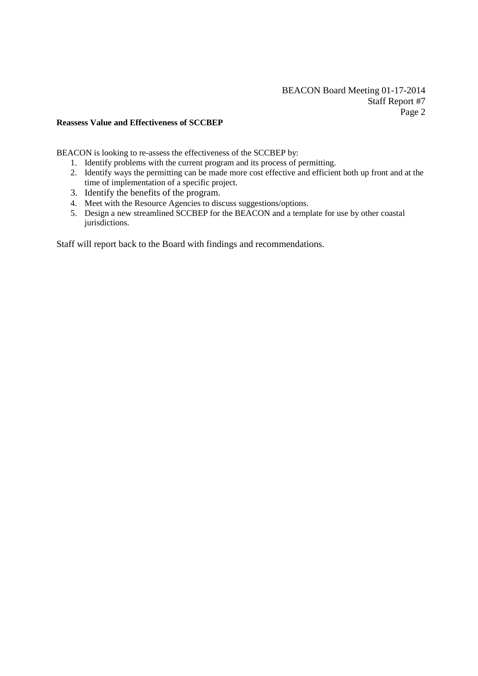# **Reassess Value and Effectiveness of SCCBEP**

BEACON is looking to re-assess the effectiveness of the SCCBEP by:

- 1. Identify problems with the current program and its process of permitting.
- 2. Identify ways the permitting can be made more cost effective and efficient both up front and at the time of implementation of a specific project.
- 3. Identify the benefits of the program.
- 4. Meet with the Resource Agencies to discuss suggestions/options.
- 5. Design a new streamlined SCCBEP for the BEACON and a template for use by other coastal jurisdictions.

Staff will report back to the Board with findings and recommendations.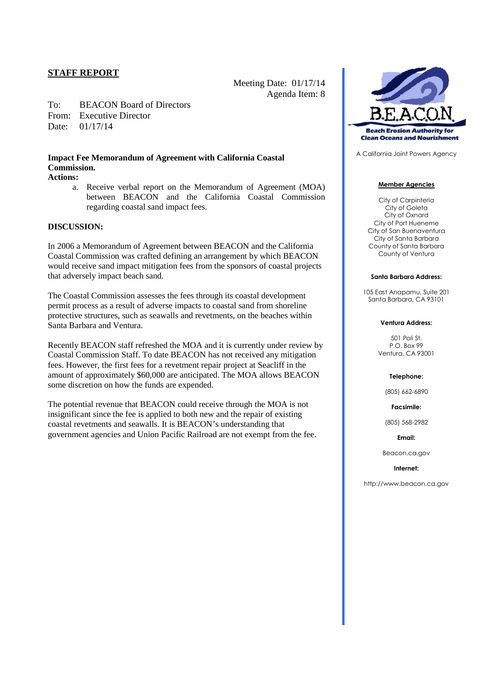Meeting Date: 01/17/14 Agenda Item: 8

To: BEACON Board of Directors From: Executive Director Date: 01/17/14

# **Impact Fee Memorandum of Agreement with California Coastal Commission.**

# **Actions:**

a. Receive verbal report on the Memorandum of Agreement (MOA) between BEACON and the California Coastal Commission regarding coastal sand impact fees.

# **DISCUSSION:**

In 2006 a Memorandum of Agreement between BEACON and the California Coastal Commission was crafted defining an arrangement by which BEACON would receive sand impact mitigation fees from the sponsors of coastal projects that adversely impact beach sand.

The Coastal Commission assesses the fees through its coastal development permit process as a result of adverse impacts to coastal sand from shoreline protective structures, such as seawalls and revetments, on the beaches within Santa Barbara and Ventura.

Recently BEACON staff refreshed the MOA and it is currently under review by Coastal Commission Staff. To date BEACON has not received any mitigation fees. However, the first fees for a revetment repair project at Seacliff in the amount of approximately \$60,000 are anticipated. The MOA allows BEACON some discretion on how the funds are expended.

The potential revenue that BEACON could receive through the MOA is not insignificant since the fee is applied to both new and the repair of existing coastal revetments and seawalls. It is BEACON's understanding that government agencies and Union Pacific Railroad are not exempt from the fee.



A California Joint Powers Agency

#### **Member Agencies**

City of Carpinteria City of Goleta City of Oxnard City of Port Hueneme City of San Buenaventura City of Santa Barbara County of Santa Barbara County of Ventura

#### **Santa Barbara Address:**

105 East Anapamu, Suite 201 Santa Barbara, CA 93101

#### **Ventura Address:**

501 Poli St. P.O. Box 99 Ventura, CA 93001

#### **Telephone:**

(805) 662-6890

**Facsimile:**

(805) 568-2982

**Email:**

Beacon.ca.gov

#### **Internet:**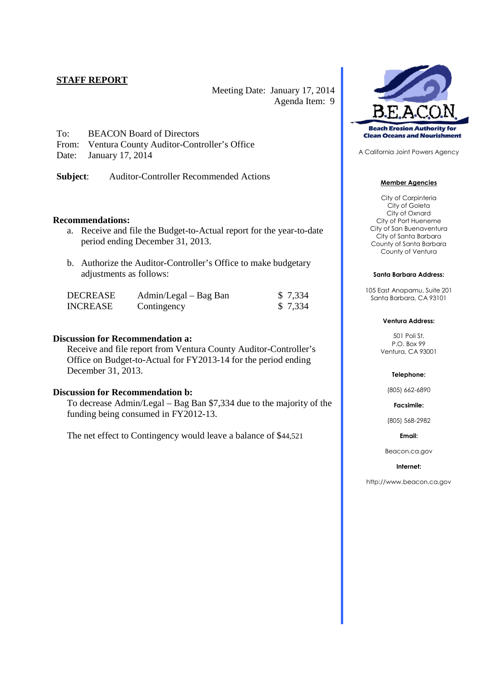Meeting Date: January 17, 2014 Agenda Item: 9

- To: BEACON Board of Directors
- From: Ventura County Auditor-Controller's Office
- Date: January 17, 2014

**Subject**: Auditor-Controller Recommended Actions

# **Recommendations:**

- a. Receive and file the Budget-to-Actual report for the year-to-date period ending December 31, 2013.
- b. Authorize the Auditor-Controller's Office to make budgetary adjustments as follows:

| DECREASE        | Admin/Legal – Bag Ban | \$ 7,334 |
|-----------------|-----------------------|----------|
| <b>INCREASE</b> | Contingency           | \$ 7,334 |

# **Discussion for Recommendation a:**

Receive and file report from Ventura County Auditor-Controller's Office on Budget-to-Actual for FY2013-14 for the period ending December 31, 2013.

# **Discussion for Recommendation b:**

To decrease Admin/Legal – Bag Ban \$7,334 due to the majority of the funding being consumed in FY2012-13.

The net effect to Contingency would leave a balance of \$44,521



A California Joint Powers Agency

### **Member Agencies**

City of Carpinteria City of Goleta City of Oxnard City of Port Hueneme City of San Buenaventura City of Santa Barbara County of Santa Barbara County of Ventura

### **Santa Barbara Address:**

105 East Anapamu, Suite 201 Santa Barbara, CA 93101

#### **Ventura Address:**

501 Poli St. P.O. Box 99 Ventura, CA 93001

#### **Telephone:**

(805) 662-6890

**Facsimile:**

(805) 568-2982

### **Email:**

Beacon.ca.gov

#### **Internet:**